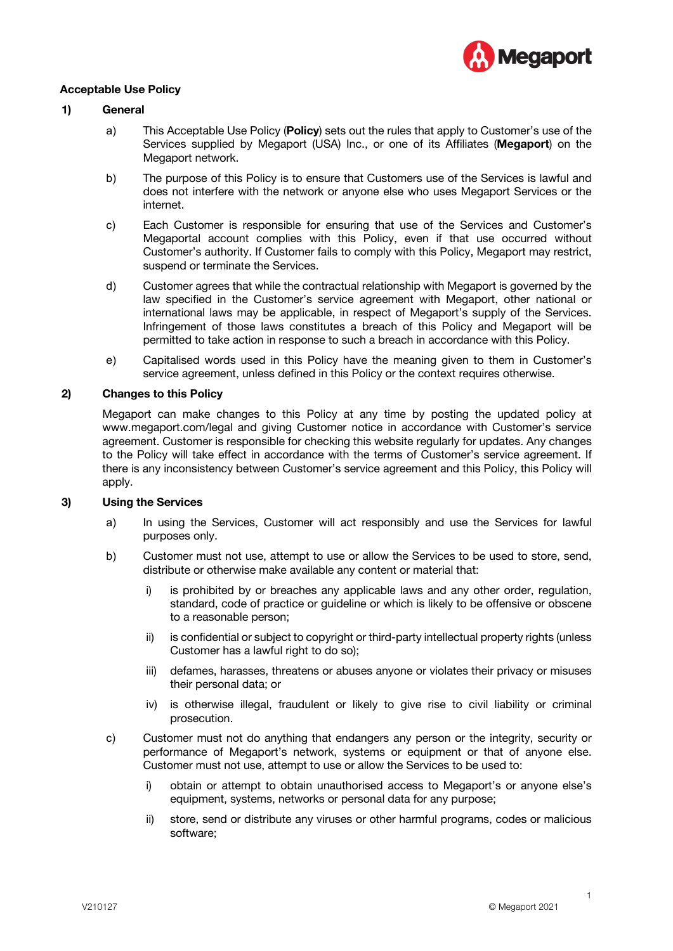

#### **Acceptable Use Policy**

### **1) General**

- a) This Acceptable Use Policy (**Policy**) sets out the rules that apply to Customer's use of the Services supplied by Megaport (USA) Inc., or one of its Affiliates (**Megaport**) on the Megaport network.
- b) The purpose of this Policy is to ensure that Customers use of the Services is lawful and does not interfere with the network or anyone else who uses Megaport Services or the internet.
- c) Each Customer is responsible for ensuring that use of the Services and Customer's Megaportal account complies with this Policy, even if that use occurred without Customer's authority. If Customer fails to comply with this Policy, Megaport may restrict, suspend or terminate the Services.
- d) Customer agrees that while the contractual relationship with Megaport is governed by the law specified in the Customer's service agreement with Megaport, other national or international laws may be applicable, in respect of Megaport's supply of the Services. Infringement of those laws constitutes a breach of this Policy and Megaport will be permitted to take action in response to such a breach in accordance with this Policy.
- e) Capitalised words used in this Policy have the meaning given to them in Customer's service agreement, unless defined in this Policy or the context requires otherwise.

# **2) Changes to this Policy**

Megaport can make changes to this Policy at any time by posting the updated policy at www.megaport.com/legal and giving Customer notice in accordance with Customer's service agreement. Customer is responsible for checking this website regularly for updates. Any changes to the Policy will take effect in accordance with the terms of Customer's service agreement. If there is any inconsistency between Customer's service agreement and this Policy, this Policy will apply.

#### **3) Using the Services**

- a) In using the Services, Customer will act responsibly and use the Services for lawful purposes only.
- b) Customer must not use, attempt to use or allow the Services to be used to store, send, distribute or otherwise make available any content or material that:
	- i) is prohibited by or breaches any applicable laws and any other order, regulation, standard, code of practice or guideline or which is likely to be offensive or obscene to a reasonable person;
	- ii) is confidential or subject to copyright or third-party intellectual property rights (unless Customer has a lawful right to do so);
	- iii) defames, harasses, threatens or abuses anyone or violates their privacy or misuses their personal data; or
	- iv) is otherwise illegal, fraudulent or likely to give rise to civil liability or criminal prosecution.
- c) Customer must not do anything that endangers any person or the integrity, security or performance of Megaport's network, systems or equipment or that of anyone else. Customer must not use, attempt to use or allow the Services to be used to:
	- i) obtain or attempt to obtain unauthorised access to Megaport's or anyone else's equipment, systems, networks or personal data for any purpose;
	- ii) store, send or distribute any viruses or other harmful programs, codes or malicious software;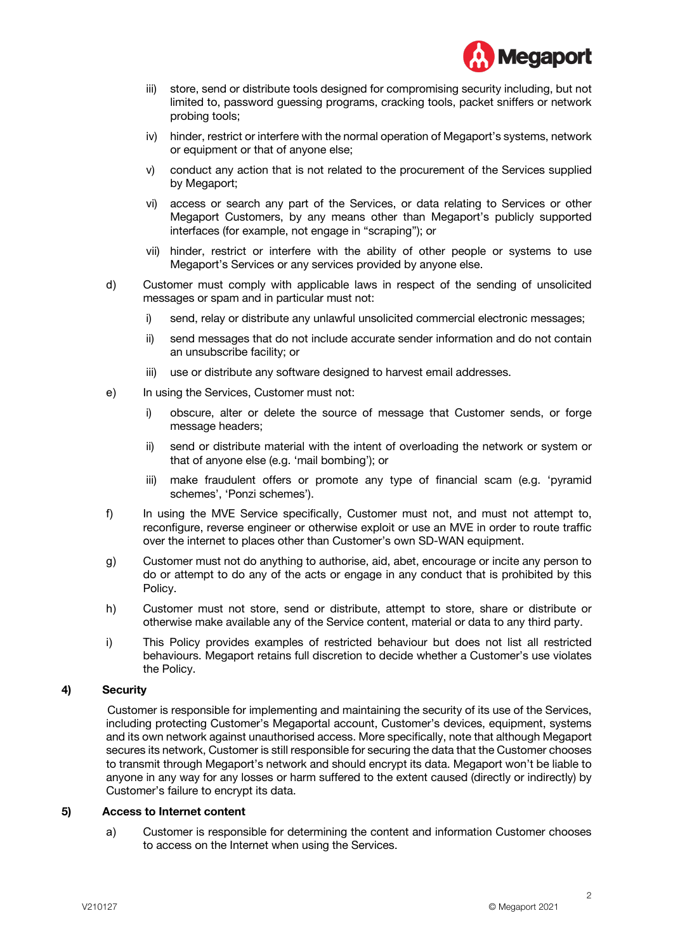

- iii) store, send or distribute tools designed for compromising security including, but not limited to, password guessing programs, cracking tools, packet sniffers or network probing tools;
- iv) hinder, restrict or interfere with the normal operation of Megaport's systems, network or equipment or that of anyone else;
- v) conduct any action that is not related to the procurement of the Services supplied by Megaport;
- vi) access or search any part of the Services, or data relating to Services or other Megaport Customers, by any means other than Megaport's publicly supported interfaces (for example, not engage in "scraping"); or
- vii) hinder, restrict or interfere with the ability of other people or systems to use Megaport's Services or any services provided by anyone else.
- d) Customer must comply with applicable laws in respect of the sending of unsolicited messages or spam and in particular must not:
	- i) send, relay or distribute any unlawful unsolicited commercial electronic messages;
	- ii) send messages that do not include accurate sender information and do not contain an unsubscribe facility; or
	- iii) use or distribute any software designed to harvest email addresses.
- e) In using the Services, Customer must not:
	- i) obscure, alter or delete the source of message that Customer sends, or forge message headers;
	- ii) send or distribute material with the intent of overloading the network or system or that of anyone else (e.g. 'mail bombing'); or
	- iii) make fraudulent offers or promote any type of financial scam (e.g. 'pyramid schemes', 'Ponzi schemes').
- f) In using the MVE Service specifically, Customer must not, and must not attempt to, reconfigure, reverse engineer or otherwise exploit or use an MVE in order to route traffic over the internet to places other than Customer's own SD-WAN equipment.
- g) Customer must not do anything to authorise, aid, abet, encourage or incite any person to do or attempt to do any of the acts or engage in any conduct that is prohibited by this Policy.
- h) Customer must not store, send or distribute, attempt to store, share or distribute or otherwise make available any of the Service content, material or data to any third party.
- i) This Policy provides examples of restricted behaviour but does not list all restricted behaviours. Megaport retains full discretion to decide whether a Customer's use violates the Policy.

# **4) Security**

Customer is responsible for implementing and maintaining the security of its use of the Services, including protecting Customer's Megaportal account, Customer's devices, equipment, systems and its own network against unauthorised access. More specifically, note that although Megaport secures its network, Customer is still responsible for securing the data that the Customer chooses to transmit through Megaport's network and should encrypt its data. Megaport won't be liable to anyone in any way for any losses or harm suffered to the extent caused (directly or indirectly) by Customer's failure to encrypt its data.

#### **5) Access to Internet content**

a) Customer is responsible for determining the content and information Customer chooses to access on the Internet when using the Services.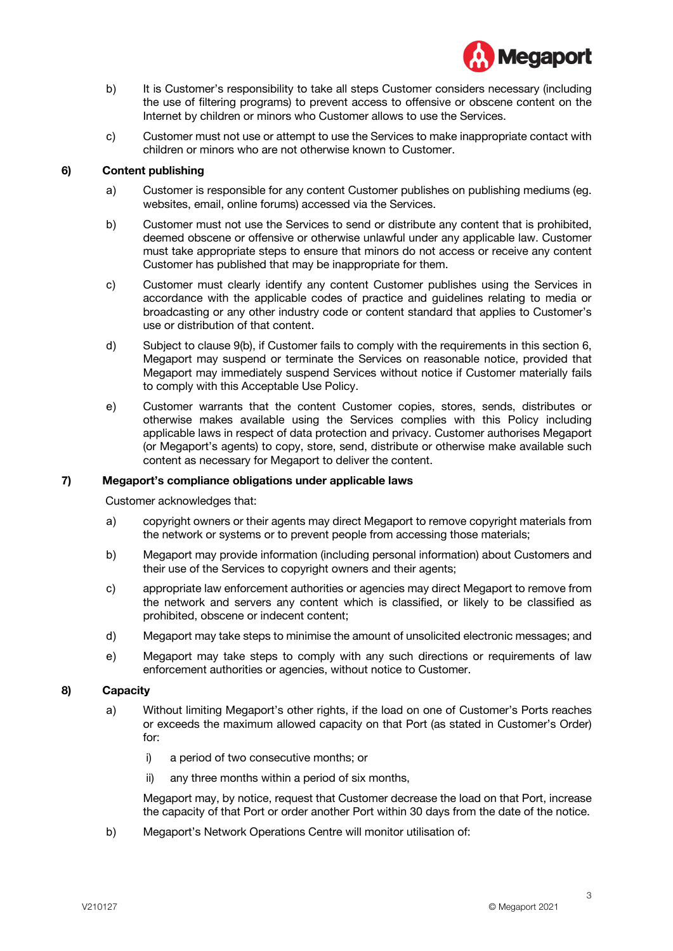

- b) It is Customer's responsibility to take all steps Customer considers necessary (including the use of filtering programs) to prevent access to offensive or obscene content on the Internet by children or minors who Customer allows to use the Services.
- c) Customer must not use or attempt to use the Services to make inappropriate contact with children or minors who are not otherwise known to Customer.

# **6) Content publishing**

- a) Customer is responsible for any content Customer publishes on publishing mediums (eg. websites, email, online forums) accessed via the Services.
- b) Customer must not use the Services to send or distribute any content that is prohibited, deemed obscene or offensive or otherwise unlawful under any applicable law. Customer must take appropriate steps to ensure that minors do not access or receive any content Customer has published that may be inappropriate for them.
- c) Customer must clearly identify any content Customer publishes using the Services in accordance with the applicable codes of practice and guidelines relating to media or broadcasting or any other industry code or content standard that applies to Customer's use or distribution of that content.
- d) Subject to clause 9(b), if Customer fails to comply with the requirements in this section 6, Megaport may suspend or terminate the Services on reasonable notice, provided that Megaport may immediately suspend Services without notice if Customer materially fails to comply with this Acceptable Use Policy.
- e) Customer warrants that the content Customer copies, stores, sends, distributes or otherwise makes available using the Services complies with this Policy including applicable laws in respect of data protection and privacy. Customer authorises Megaport (or Megaport's agents) to copy, store, send, distribute or otherwise make available such content as necessary for Megaport to deliver the content.

# **7) Megaport's compliance obligations under applicable laws**

Customer acknowledges that:

- a) copyright owners or their agents may direct Megaport to remove copyright materials from the network or systems or to prevent people from accessing those materials;
- b) Megaport may provide information (including personal information) about Customers and their use of the Services to copyright owners and their agents;
- c) appropriate law enforcement authorities or agencies may direct Megaport to remove from the network and servers any content which is classified, or likely to be classified as prohibited, obscene or indecent content;
- d) Megaport may take steps to minimise the amount of unsolicited electronic messages; and
- e) Megaport may take steps to comply with any such directions or requirements of law enforcement authorities or agencies, without notice to Customer.

# **8) Capacity**

- a) Without limiting Megaport's other rights, if the load on one of Customer's Ports reaches or exceeds the maximum allowed capacity on that Port (as stated in Customer's Order) for:
	- i) a period of two consecutive months; or
	- ii) any three months within a period of six months,

Megaport may, by notice, request that Customer decrease the load on that Port, increase the capacity of that Port or order another Port within 30 days from the date of the notice.

b) Megaport's Network Operations Centre will monitor utilisation of: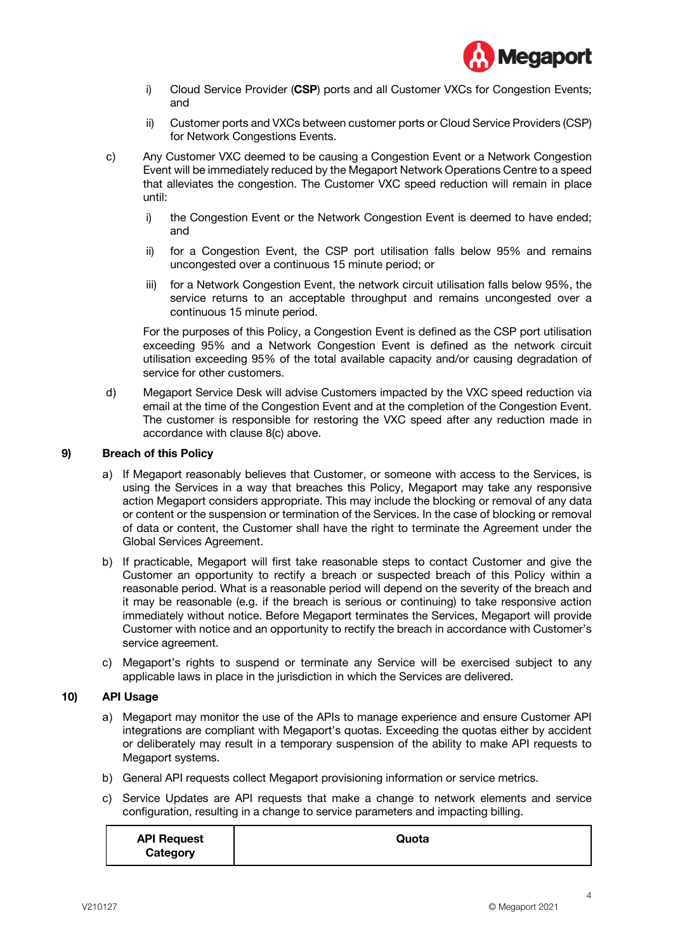

- i) Cloud Service Provider (**CSP**) ports and all Customer VXCs for Congestion Events; and
- ii) Customer ports and VXCs between customer ports or Cloud Service Providers (CSP) for Network Congestions Events.
- c) Any Customer VXC deemed to be causing a Congestion Event or a Network Congestion Event will be immediately reduced by the Megaport Network Operations Centre to a speed that alleviates the congestion. The Customer VXC speed reduction will remain in place until:
	- i) the Congestion Event or the Network Congestion Event is deemed to have ended; and
	- ii) for a Congestion Event, the CSP port utilisation falls below 95% and remains uncongested over a continuous 15 minute period; or
	- iii) for a Network Congestion Event, the network circuit utilisation falls below 95%, the service returns to an acceptable throughput and remains uncongested over a continuous 15 minute period.

For the purposes of this Policy, a Congestion Event is defined as the CSP port utilisation exceeding 95% and a Network Congestion Event is defined as the network circuit utilisation exceeding 95% of the total available capacity and/or causing degradation of service for other customers.

d) Megaport Service Desk will advise Customers impacted by the VXC speed reduction via email at the time of the Congestion Event and at the completion of the Congestion Event. The customer is responsible for restoring the VXC speed after any reduction made in accordance with clause 8(c) above.

# **9) Breach of this Policy**

- a) If Megaport reasonably believes that Customer, or someone with access to the Services, is using the Services in a way that breaches this Policy, Megaport may take any responsive action Megaport considers appropriate. This may include the blocking or removal of any data or content or the suspension or termination of the Services. In the case of blocking or removal of data or content, the Customer shall have the right to terminate the Agreement under the Global Services Agreement.
- b) If practicable, Megaport will first take reasonable steps to contact Customer and give the Customer an opportunity to rectify a breach or suspected breach of this Policy within a reasonable period. What is a reasonable period will depend on the severity of the breach and it may be reasonable (e.g. if the breach is serious or continuing) to take responsive action immediately without notice. Before Megaport terminates the Services, Megaport will provide Customer with notice and an opportunity to rectify the breach in accordance with Customer's service agreement.
- c) Megaport's rights to suspend or terminate any Service will be exercised subject to any applicable laws in place in the jurisdiction in which the Services are delivered.

#### **10) API Usage**

- a) Megaport may monitor the use of the APIs to manage experience and ensure Customer API integrations are compliant with Megaport's quotas. Exceeding the quotas either by accident or deliberately may result in a temporary suspension of the ability to make API requests to Megaport systems.
- b) General API requests collect Megaport provisioning information or service metrics.
- c) Service Updates are API requests that make a change to network elements and service configuration, resulting in a change to service parameters and impacting billing.

| <b>API Request</b> | Quota |
|--------------------|-------|
| Category           |       |